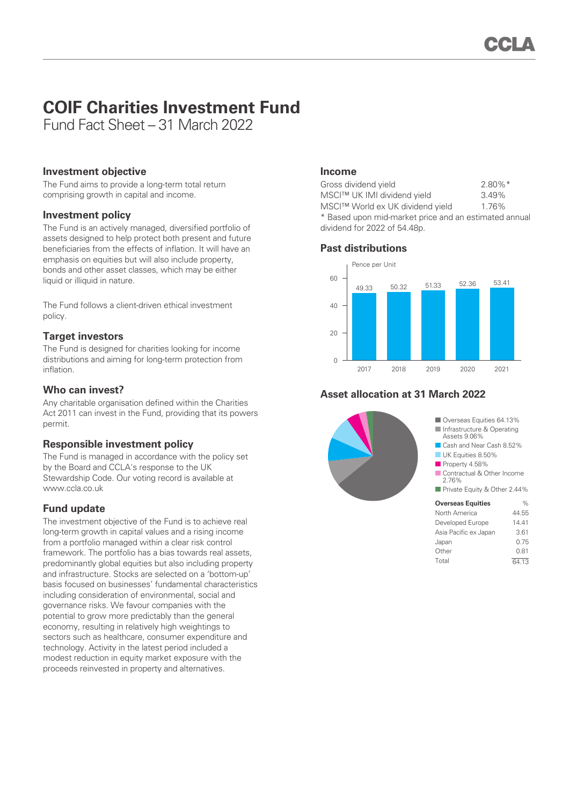# **COIF Charities Investment Fund**

Fund Fact Sheet – 31 March 2022

# **Investment objective**

The Fund aims to provide a long-term total return comprising growth in capital and income.

# **Investment policy**

The Fund is an actively managed, diversified portfolio of assets designed to help protect both present and future beneficiaries from the effects of inflation. It will have an emphasis on equities but will also include property, bonds and other asset classes, which may be either liquid or illiquid in nature.

The Fund follows a client-driven ethical investment policy.

# **Target investors**

The Fund is designed for charities looking for income distributions and aiming for long-term protection from inflation.

# **Who can invest?**

Any charitable organisation defined within the Charities Act 2011 can invest in the Fund, providing that its powers permit.

# **Responsible investment policy**

The Fund is managed in accordance with the policy set by the Board and CCLA's response to the UK Stewardship Code. Our voting record is available at www.ccla.co.uk

# **Fund update**

The investment objective of the Fund is to achieve real long-term growth in capital values and a rising income from a portfolio managed within a clear risk control framework. The portfolio has a bias towards real assets, predominantly global equities but also including property and infrastructure. Stocks are selected on a 'bottom-up' basis focused on businesses' fundamental characteristics including consideration of environmental, social and governance risks. We favour companies with the potential to grow more predictably than the general economy, resulting in relatively high weightings to sectors such as healthcare, consumer expenditure and technology. Activity in the latest period included a modest reduction in equity market exposure with the proceeds reinvested in property and alternatives.

### **Income**

| Gross dividend yield                                  | $2.80\%$ <sup>*</sup> |
|-------------------------------------------------------|-----------------------|
| MSCI™ UK IMI dividend yield                           | 3.49%                 |
| MSCI™ World ex UK dividend yield                      | 1.76%                 |
| * Based upon mid-market price and an estimated annual |                       |
| dividend for 2022 of 54.48p.                          |                       |





# **Asset allocation at 31 March 2022**



Total 64.13